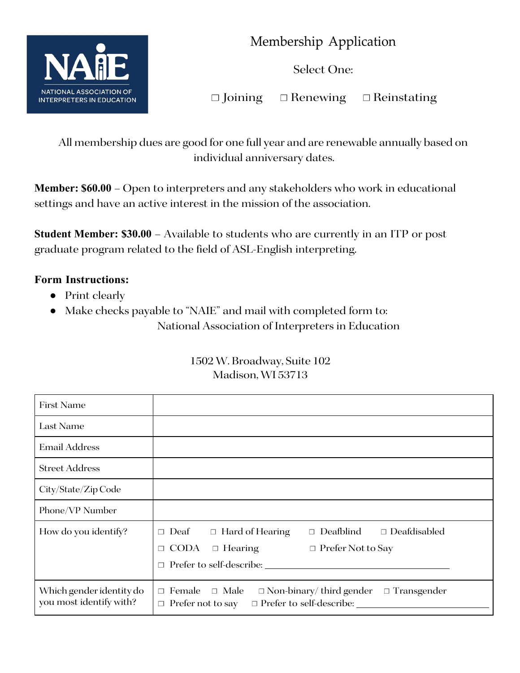

Membership Application

Select One:

☐ Joining ☐ Renewing ☐ Reinstating

All membership dues are good for one full year and are renewable annually based on individual anniversary dates.

**Member: \$60.00** – Open to interpreters and any stakeholders who work in educational settings and have an active interest in the mission of the association.

**Student Member: \$30.00** – Available to students who are currently in an ITP or post graduate program related to the field of ASL-English interpreting.

## **Form Instructions:**

- Print clearly
- Make checks payable to "NAIE" and mail with completed form to: National Association of Interpreters in Education

| First Name                                          |                                                                                                                                                                                     |
|-----------------------------------------------------|-------------------------------------------------------------------------------------------------------------------------------------------------------------------------------------|
| Last Name                                           |                                                                                                                                                                                     |
| <b>Email Address</b>                                |                                                                                                                                                                                     |
| <b>Street Address</b>                               |                                                                                                                                                                                     |
| City/State/Zip Code                                 |                                                                                                                                                                                     |
| Phone/VP Number                                     |                                                                                                                                                                                     |
| How do you identify?                                | Deafblind<br>$\Box$ Deafdisabled<br>$\Box$ Deaf $\Box$ Hard of Hearing<br>$\Box$<br><b>CODA</b><br>$\Box$ Hearing<br>$\Box$ Prefer Not to Say<br>П<br>Prefer to self-describe:<br>П |
| Which gender identity do<br>you most identify with? | $\Box$ Female<br>$\Box$ Male<br>$\Box$ Non-binary/third gender<br>$\Box$ Transgender<br>$\Box$ Prefer to self-describe:<br>$\Box$ Prefer not to say                                 |

## 1502 W. Broadway, Suite 102 Madison, WI 53713